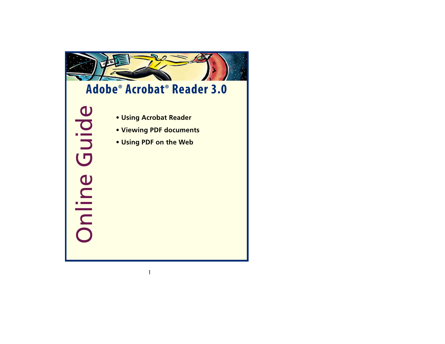

# **Adobe® Acrobat® Reader 3.0**

Online Guide**• [Using Acrobat Reader](#page-1-0) • [Viewing PDF documents](#page-3-0) • [Using PDF on the Web](#page-73-0)**

- 
- 
-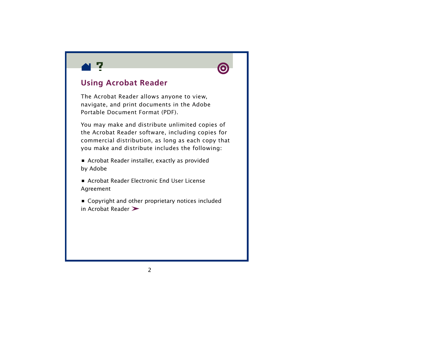<span id="page-1-0"></span>



# **Using Acrobat Reader**

The Acrobat Reader allows anyone to view, navigate, and print documents in the Adobe Portable Document Format (PDF).

You may make and distribute unlimited copies of the Acrobat Reader software, including copies for commercial distribution, as long as each copy that you make and distribute includes the following:

**•** Acrobat Reader installer, exactly as provided by Adobe

**•** Acrobat Reader Electronic End User License Agreement

**•** Copyright and other proprietary notices included in Acrobat Reade[r](#page-2-0)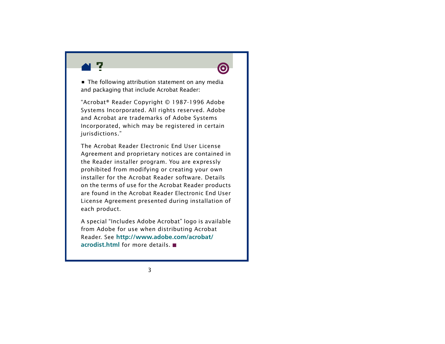<span id="page-2-0"></span>

**•** The following attribution statement on any media and packaging that include Acrobat Reader:

"Acrobat® Reader Copyright © 1987-1996 Adobe Systems Incorporated. All rights reserved. Adobe and Acrobat are trademarks of Adobe Systems Incorporated, which may be registered in certain jurisdictions."

The Acrobat Reader Electronic End User License Agreement and proprietary notices are contained in the Reader installer program. You are expressly prohibited from modifying or creating your own installer for the Acrobat Reader software. Details on the terms of use for the Acrobat Reader products are found in the Acrobat Reader Electronic End User License Agreement presented during installation of each product.

A special "Includes Adobe Acrobat" logo is available from Adobe for use when distributing Acrobat Reader. See **[http://www.adobe.com/acrobat/](http://www.adobe.com/acrobat/acrodist.html) [acrodist.html](http://www.adobe.com/acrobat/acrodist.html)** for more details.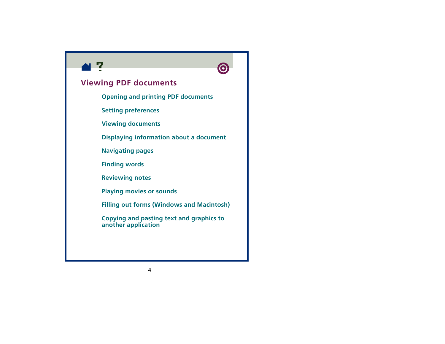<span id="page-3-0"></span>



### **Viewing PDF documents**

- **[Opening and printing PDF documents](#page-4-0)**
- **[Setting preferences](#page-12-0)**
- **[Viewing documents](#page-20-0)**
- **[Displaying information about a document](#page-41-0)**
- **[Navigating pages](#page-46-0)**
- **[Finding words](#page-59-0)**
- **[Reviewing notes](#page-62-0)**
- **[Playing movies or sounds](#page-63-0)**
- **[Filling out forms \(Windows and Macintosh\)](#page-66-0)**
- **[Copying and pasting text and graphics to](#page-69-0)  [another application](#page-69-0)**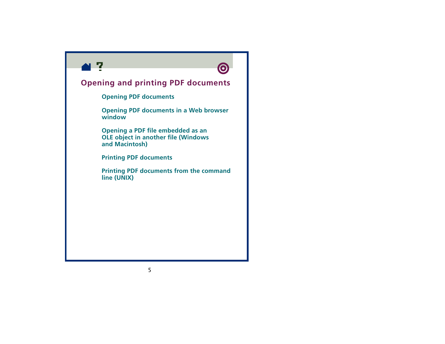<span id="page-4-0"></span>



# **Opening and printing PDF documents**

**[Opening PDF documents](#page-5-0)**

**[Opening PDF documents in a Web browser](#page-7-0)  [window](#page-7-0)**

**[Opening a PDF file embedded as an](#page-8-0)  [OLE object in another file \(Windows](#page-8-0)  [and Macintosh\)](#page-8-0)**

**[Printing PDF documents](#page-9-0)**

**[Printing PDF documents from the command](#page-10-0)  [line \(UNIX\)](#page-10-0)**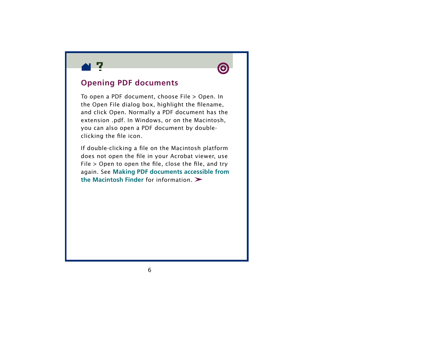<span id="page-5-0"></span>



#### **Opening PDF documents**

To open a PDF document, choose File > Open. In the Open File dialog box, highlight the filename, and click Open. Normally a PDF document h as the extension .pdf. In Windows, or on the Macintosh, you can also open a PDF document by doubleclicking the file icon.

If double-clicking a file on the Macintosh platform does not open the file in your Acrobat viewer, use File  $>$  Open to open the file, close the file, and try again. See **[Making PDF documents accessible from](#page-89-0)  [the Macintosh Finder](#page-89-0)** for information.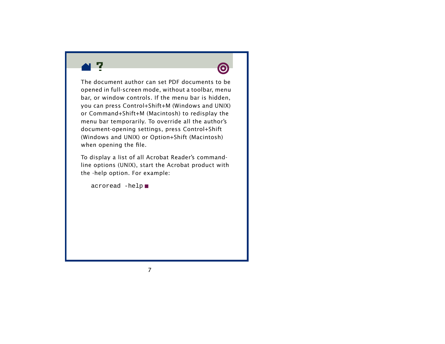



The document author can set PDF documents to be opened in full-screen mode, without a toolbar, menu bar, or window controls. If the menu bar is hidden, you can press Control+Shift+M (Windows and UNIX) or Command+Shift+M (Macintosh) to redisplay the menu bar temporarily. To override all the author's document-opening settings, press Control+Shift (Windows and UNIX) or Option+Shift (Macintosh) when opening the file.

To display a list of all Acrobat Reader's commandline options (UNIX), start the Acrobat product with the -help option. For example:

```
acroread -help
```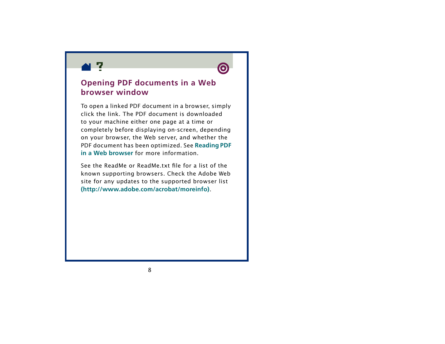<span id="page-7-0"></span>



# **Opening PDF documents in a Web browser window**

To open a linked PDF document in a browser, simply click the link. The PDF document is downloadedto your machine either one page at a time or completely before displaying on-screen, depending on your browser, the Web server, and whether the PDF document has been optimized. See **[Reading PDF](#page-78-0)  [in a Web browser](#page-78-0)** for more information.

See the ReadMe or ReadMe.txt file for a list of the known supporting browsers. Check the Adobe Web site for any updates to the supported browser list **[\(http://www.adobe.com/acrobat/moreinfo\)](http://www.adobe.com/acrobat/moreinfo)**.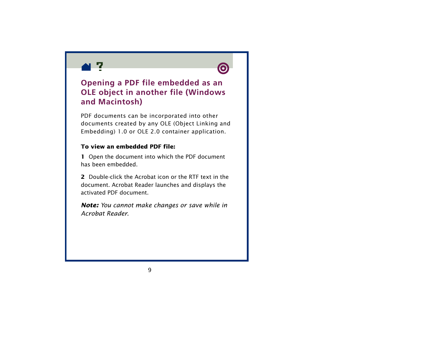<span id="page-8-0"></span>



# **Opening a PDF file embedded as an OLE object in another file (Windows and Macintosh)**

PDF documents can be incorporated into other documents created by any OLE (Object Linking and Embedding) 1.0 or OLE 2.0 container application.

#### **To view an embedded PDF file:**

**1** Open the document into which the PDF document has been embedded.

**2** Double-click the Acrobat icon or the RTF text in the document. Acrobat Reader launches and displays the activated PDF document.

*Note: You cannot make changes or save while in Acrobat Reader.*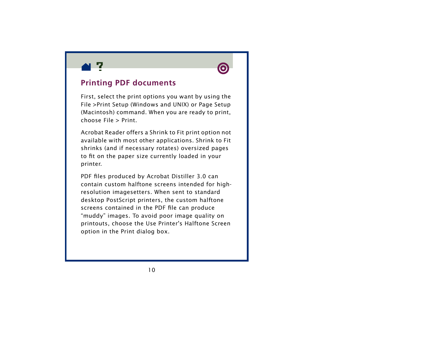<span id="page-9-0"></span>



### **Printing PDF documents**

First, select the print options you want by using the File >Print Setup (Windows and UNIX) or Page Setup (Macintosh) command. When you are ready to print, choose File > Print.

Acrobat Reader offers a Shrink to Fit print option not available with most other applications. Shrink to Fit shrinks (and if necessary rotates) oversized pages to fit on the paper size currently loaded in your printer.

PDF files produced by Acrobat Distiller 3.0 can contain custom halftone screens intended for highresolution imagesetters. When sent to standard desktop PostScript printers, the custom halftone screens contained in the PDF file can produce "muddy" images. To avoid poor image quality on print outs, choose the Use Printer's Halftone Screen option in the Print dialog box.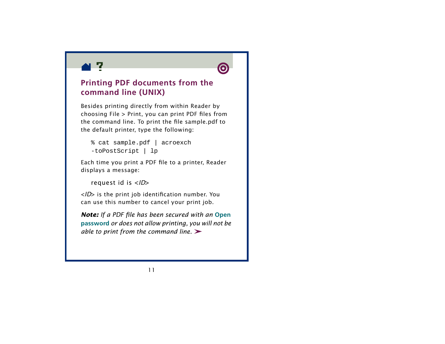<span id="page-10-0"></span>



# **Printing PDF documents from the command line (UNIX)**

Besides printing directly from within Reader by choosing File > Print, you can print PDF files from the command line. To print the file sample.pdf to the default printer, type the following:

% cat sample.pdf | acroexch

```
-toPostScript | lp
```
Each time you print a PDF file to a printer, Reader displays a message:

```
request id is <ID
>
```
<sup>&</sup>lt;*ID*> is the print job identification number. You can use this number to cancel your print job.

*Note: If a PDF file has been secured with an* **[Open](#page-45-0)  [passwor](#page-45-0) d** *or does not allow printing, you will not be able to print from the command line.*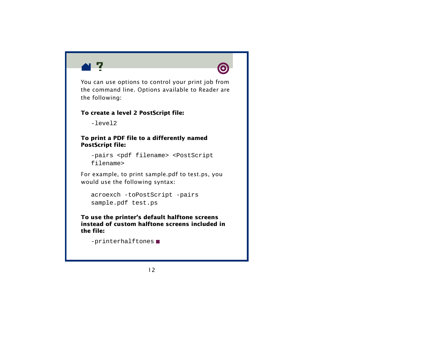



You can use options to control your print job from the command line. Options available to Reader are the following:

#### **To create a level 2 PostScript file:**

 $-$ level2

#### **To print a PDF file to a differently named PostScript file:**

-pairs <pdf filename> <PostScript filename>

For example, to print sample.pdf to test.ps, you would use the following syntax:

```
acroexch -toPostScript -pairs 
sample.pdf test.ps
```
**To use the printer's default halftone screens instead of custom halftone screens included in the file:**

```
-printerhalftones
```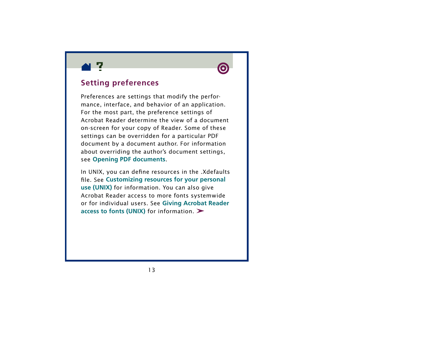<span id="page-12-0"></span>



# **Setting preferences**

Preferences are settings that modify the performance, interface, and behavior of an application. For the most part, the preference settings of Acrobat Reader determine the view of a document on-screen for your copy of Reader. Some of these settings can be overridden for a particular PDF document by a document author. For information about overriding the author's document settings, see **[Opening PDF documents](#page-5-0)**.

In UNIX, you can define resources in the .Xdefaults file. See **[Customizing resources for your personal](#page-14-0)  [use \(UNIX\)](#page-14-0)** for information. You can also give Acrobat Reader access to more fonts systemwide or for individual users. See **[Giving Acrobat Reader](#page-18-0)  [access to fonts \(UNIX\)](#page-18-0)** for information.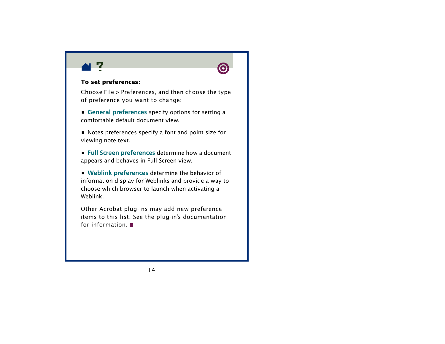



#### **To set preferences:**

Choose File > Preferences, and then choose the type of preference you want to change:

**• [General preferences](#page-28-0)** specify options for setting a comfortable default document view.

**•** Notes preferences specify a font and point size for viewing note text.

**• [Full Screen preferences](#page-36-0)** determine how a document appears and behaves in Full Screen view.

**• [Weblink preferences](#page-39-0)** determine the behavior of information display for Weblinks and provide a way to choose which browser to launch when activating a Weblink.

Other Acrobat plug-ins may add new preference items to this list. See the plug-in's documentation for information.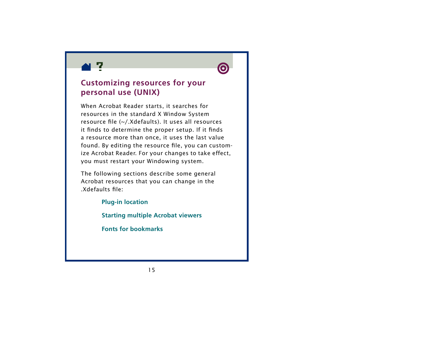<span id="page-14-0"></span>



# **Customizing resources for your personal use (UNIX)**

When Acrobat Reader starts, it searches for resources in the standard X Window System resource file (~/.Xdefaults). It uses all resources it finds to determine the proper setup. If it finds a resource more than once, it uses the last value found. By editing the resource file, you can customize Acrobat Reader. For your changes to take effect, you must restart your Windowing system.

The following sections describe some general Acrobat resources that you can change in the .Xdefaults file:

> **[Plug-in location](#page-15-0) [Starting multiple Acrobat viewers](#page-16-0) [Fonts for bookmarks](#page-17-0)**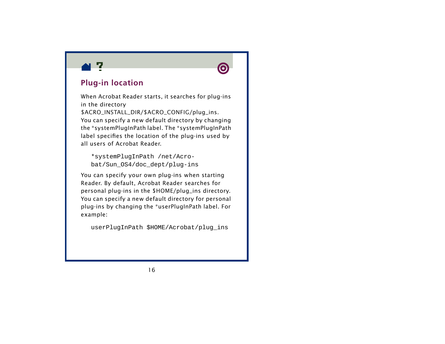<span id="page-15-0"></span>



# **Plug-in location**

When Acrobat Reader starts, it searches for plug-ins in the directory \$ACRO\_INSTALL\_DIR/\$ACRO\_CONFIG/plug\_ins. You can specify a new default directory by changing the \*systemPlugInPath label. The \*systemPlugInPath label specifies the location of the plug-ins used by all users of Acrobat Reader.

\*systemPlugInPath /net/Acrobat/Sun\_OS4/doc\_dept/plug-ins

You can specify your own plug-ins when starting Reader. By default, Acrobat Reader searches for personal plug-ins in the \$HOME/plug\_ins directory. You can specify a new default directory for personal plug-ins by changing the \*userPlugInPath label. For example:

userPlugInPath \$HOME/Acrobat/plug\_ins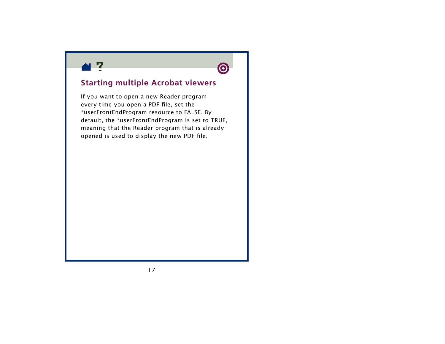<span id="page-16-0"></span>



# **Starting multiple Acrobat viewers**

If you want to open a new Reader program every time you open a PDF file, set the \*userFrontEndProgram resource to FALSE. By default, the \*userFrontEndProgram is set to TRUE, meaning that the Reader program that is already opened is used to display the new PDF file.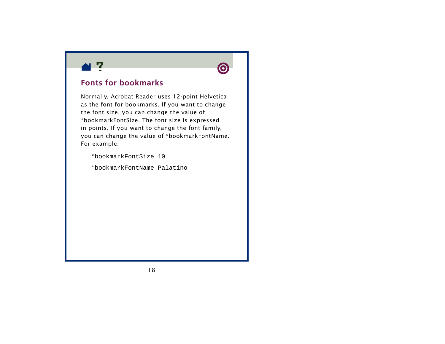<span id="page-17-0"></span>



### **Fonts for bookmarks**

Normally, Acrobat Reader uses 12-point Helvetica as the font for bookmarks. If you want to change the font size, you can change the value of \*bookmarkFontSize. The font size is expressed in points. If you want to change the font family, you can change the value of \*bookmarkFontName. For example:

\*bookmarkFontSize 10

\*bookmarkFontName Palatino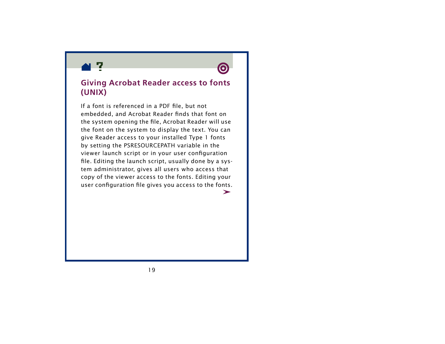<span id="page-18-0"></span>



### **Giving Acrobat Reader access to fonts (UNIX)**

If a font is referenced in a PDF file, but not embedded, and Acrobat Reader finds that font on the system opening the file, Acrobat Reader will use the font on the system to display the text. You can give Reader access to your installed Type 1 fonts by setting the PSRESOURCEP ATH variable in the viewer launch script or in your user configuration file. Editing the launch script, usually done by a system administrator, gives all users who access that copy of the viewer access to the fonts. Editing your user configuration file gives you access to the fonts.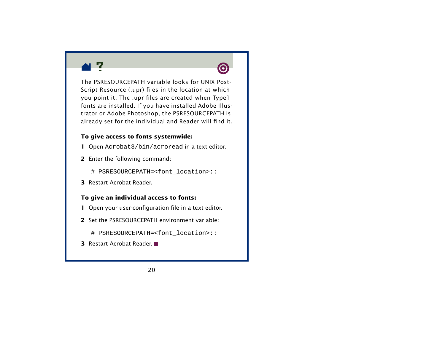



The PSRESOURCEPATH variable looks for UNIX Post-Script Resource (.upr) files in the location at which you point it. The .upr files are created when Type1 fonts are installed. If you have installed Adobe Illustrator or Adobe Photoshop, the PSRESOURCEPATH is already set for the individual and Reader will find it.

#### **To give access to fonts systemwide:**

- **1** Open Acrobat3/bin/acroread in a text editor.
- **2** Enter the following command:

# PSRESOURCEPATH=<font\_location>::

**3** Restart Acrobat Reader.

#### **To give an individual access to fonts:**

- **1** Open your user-configuration file in a text editor.
- **2** Set the PSRESOURCEPATH environment variable:

# PSRESOURCEPATH=<font\_location>::

**3** Restart Acrobat Reader.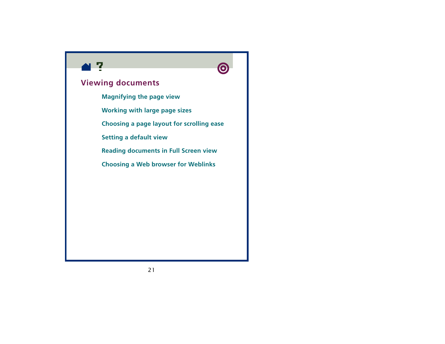<span id="page-20-0"></span>



### **Viewing documents**

**[Magnifying the page view](#page-21-0)**

**[Working with large page sizes](#page-24-0)**

**[Choosing a page layout for scrolling ease](#page-25-0)**

**[Setting a default view](#page-28-0)**

**[Reading documents in Full Screen view](#page-34-0)**

**[Choosing a Web browser for Weblinks](#page-39-0)**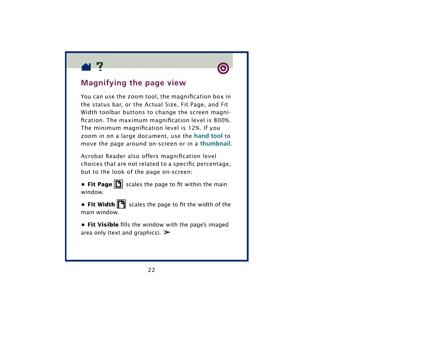<span id="page-21-0"></span>



# **Magnifying the page view**

You can use the zoom tool, the magnification box in the status bar, or the Actual Size, Fit Page, and Fit Width toolbar buttons to change the screen magnification. The maximum magnification level is 800%. The minimum magnification level is 12%. If you zoom in on a large document, use the **[hand tool](#page-51-0)** to move the page around on-screen or in a **[thumbnail](#page-50-0)**.

Acrobat Reader also offers magnification level choices that are not related to a specific percentage, but to the look of the page on-screen:

**• Fit Page <b>i** scales the page to fit within the main window.

**•** Fit Width  $\boxed{P}$  scales the page to fit the width of the main window.

**• Fit Visible** fills the window with the page's imaged area only (text and graphics).  $\blacktriangleright$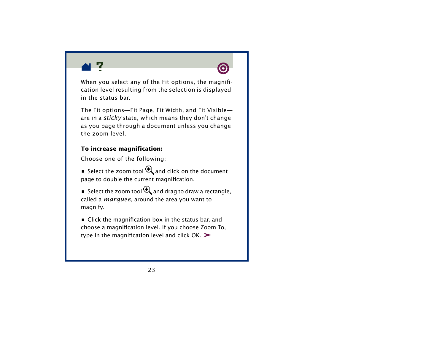



When you select any of the Fit options, the magnification level resulting from the selection is displayed in the status bar.

The Fit options—Fit Page, Fit Width, and Fit Visible are in a *sticky* state, which means they don't change as you page through a document unless you change the zoom level.

#### **To increase magnification:**

Choose one of the following:

**•** Select the zoom tool  $\mathbf{\mathfrak{R}}$  and click on the document page to double the current magnification.

 $\bullet\,$  Select the zoom tool  $\mathbf{\mathfrak{R}}_{\bullet}$  and drag to draw a rectangle, called a *marquee*, around the area you want to magnify.

**•** Click the magnification box in the status bar, and choose a magnification level. If you choose Zoom To, type in the magnification level and click  $OK.$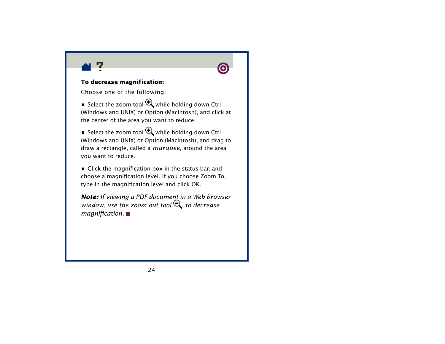



#### **To decrease magnification:**

Choose one of the following:

■ Select the zoom tool  $\mathbf{Q}$  while holding down Ctrl (Windows and UNIX) or Option (Macintosh), and click at the center of the area you want to reduce.

■ Select the zoom tool **the while holding down Ctrl** (Windows and UNIX) or Option (Macintosh), and drag to draw a rectangle, called a *marquee*, around the area you want to reduce.

**•** Click the magnification box in the status bar, and choose a magnification level. If you choose Zoom To, type in the magnification level and click OK.

*Note: If viewing a PDF document in a Web browser window, use the zoom out tool*  f *to decrease magnification.*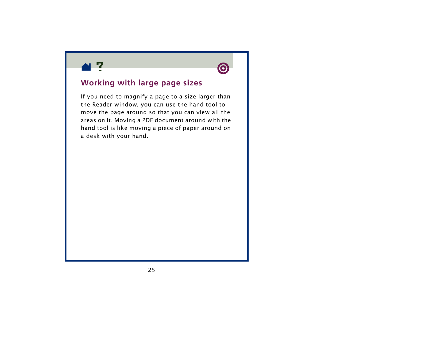<span id="page-24-0"></span>



### **Working with large page sizes**

If you need to magnify a page to a size larger than the Reader window, you can use the hand tool to move the page around so that you can view all the areas on it. Moving a PDF document around with the hand tool is like moving a piece of paper around on a desk with your hand.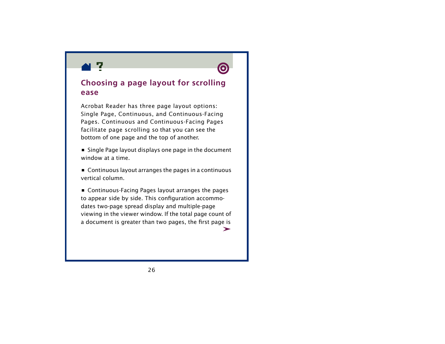<span id="page-25-0"></span>



### **Choosing a page layout for scrolling ease**

Acrobat Reader has three page layout options: Single Page, Continuous, and Continuous-Facing Pages. Continuous and Continuous-Facing Pages facilitate page scrolling so that you can see the bottom of one page and the top of another.

- **•** Single Page layout displays one page in the document window at a time.
- **•** Continuous layout arranges the pages in a continuous vertical column.

**•** Continuous-Facing Pages layout arranges the pages to appear side by side. This configuration accommodates two-page spread display and multiple-page viewing in the viewer window. If the total page count of a document is greater than two pages, the first page is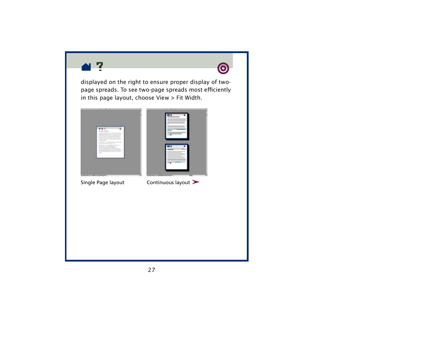



displayed on the right to ensure proper display of twopage spreads. To see two-page spreads most efficiently in this page layout, choose View > Fit Width.



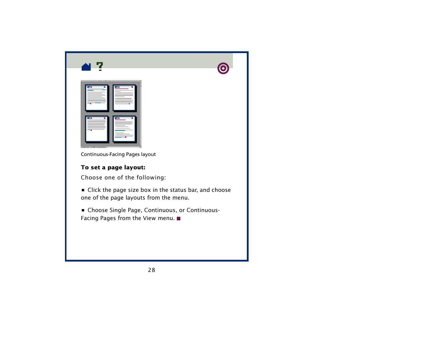<span id="page-27-0"></span>

Continuous-Facing Pages layout

#### **To set a page layout:**

Choose one of the following:

- **•** Click the page size box in the status bar, and choose one of the page layouts from the menu.
- **•** Choose Single Page, Continuous, or Continuous-Facing Pages from the View menu.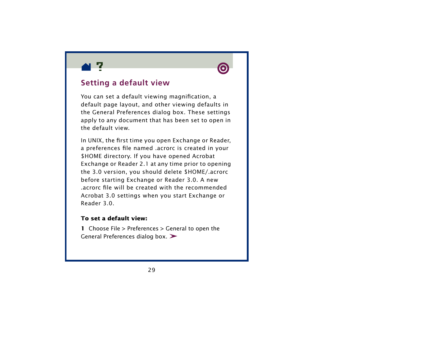<span id="page-28-0"></span>



# **Setting a default view**

You can set a default viewing magnification, a default page layout, and other viewing defaults in the General Preferences dialog box. These settings apply to any document that has been set to open in the default view.

In UNIX, the first time you open Exchange or Reader, a preferences file named .acrorc is created in your \$HOME directory. If you have opened Acrobat Exchange or Reader 2.1 at any time prior to opening the 3.0 version, you should delete \$HOME/.acrorc before starting Exchange or Reader 3.0. A new .acrorc file will be created with the recommended Acrobat 3.0 settings when you start Exchange or Reader 3.0.

#### **To set a default view:**

**1** Choose File > Preferences > General to open the General Preferences dialog box. >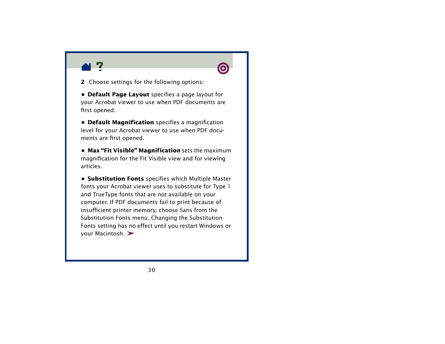



**2** Choose settings for the following options:

**• Default Page Layout** specifies a page layout for your Acrobat viewer to use when PDF documents are first opened.

**• Default Magnification** specifies a magnification level for your Acrobat viewer to use when PDF documents are first opened.

**• Max "Fit Visible" Magnification** sets the maximum magnification for the Fit Visible view and for viewing articles.

**• Substitution Fonts** specifies which Multiple Master fonts your Acrobat viewer uses to substitute for Type 1 and TrueType fonts that are not available on your computer. If PDF documents fail to print because of insufficient printer memory, choose Sans from the Substitution Fonts menu. Changing the Substitution Fonts setting has no effect until you restart Windows or your Macintosh.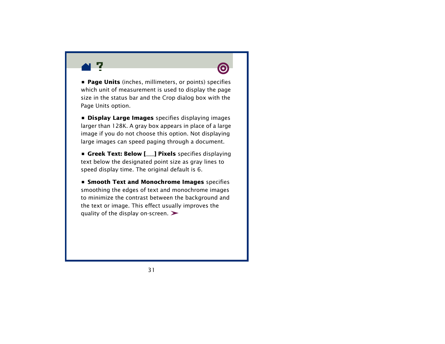



**• Page Units** (inches, millimeters, or points) specifies which unit of measurement is used to display the page size in the status bar and the Crop dialog box with the Page Units option.

**• Display Large Images** specifies displaying images larger than 128K. A gray box appears in place of a large image if you do not choose this option. Not displaying large images can speed paging through a document.

**• Greek Text: Below [\_\_\_] Pixels** specifies displaying text below the designated point size as gray lines to speed display time. The original default is 6.

**• Smooth Text and Monochrome Images** specifies smoothing the edges of text and monochrome images to minimize the contrast between the background and the text or image. This effect usually improves the quality of the display on-screen.  $\blacktriangleright$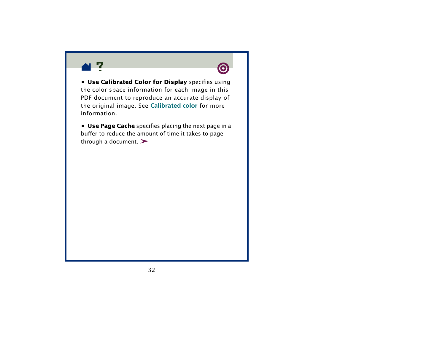



**• Use Calibrated Color for Display** specifies using the color space information for each image in this PDF document to reproduce an accurate display of the original image. See **[Calibrated color](#page-90-0)** for more information.

**• Use Page Cache** specifies placing the next page in a buffer to reduce the amount of time it takes to page through a document.  $\blacktriangleright$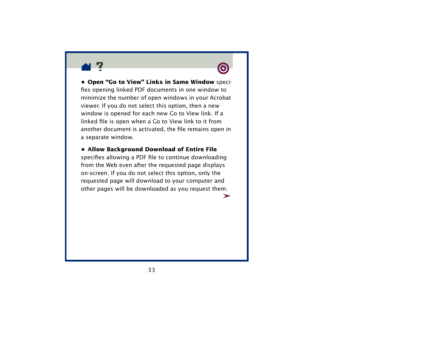



**• Open "Go to View" Links in Same Window** specifies opening linked PDF documents in one window to minimize the number of open windows in your Acrobat viewer. If you do not select this option, then a new window is opened for each new Go to View link. If a linked file is open when a Go to View link to it from another document is activated, the file remains open in a separate window.

#### **• Allow Background Download of Entire File**

specifies allowing a PDF file to continue downloading from the Web even after the requested page displays on-screen. If you do not select this option, only the requested page will download to your computer and other pages will be downloaded as you request them.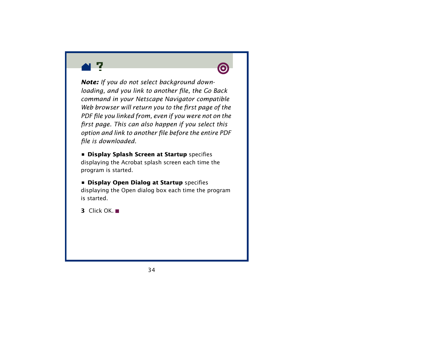



*Note: If you do not select background downloading, and you link to another file, the Go Back command in your Netscape Navigator compatible Web browser will return you to the first page of the PDF file you linked from, even if you were not on the first page. This can also happen if you select this option and link to another file before the entire PDF file is downloaded.*

**• Display Splash Screen at Startup** specifies displaying the Acrobat splash screen each time the program is started.

**• Display Open Dialog at Startup** specifies displaying the Open dialog box each time the program is started.

**3** Click OK.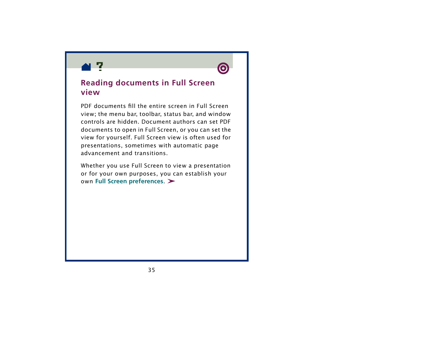<span id="page-34-0"></span>



### **Reading documents in Full Screen view**

PDF documents fill the entire screen in Full Screen view; the menu bar, toolbar, status bar, and window controls are hidden. Document authors can set PDF documents to open in Full Screen, or you can set the view for yourself. Full Screen view is often used for presentations, sometimes with automatic page advancement and transitions.

Whether you use Full Screen to view a presentation or for your own purposes, you can establish your own **[Full Screen preferences](#page-36-0)**.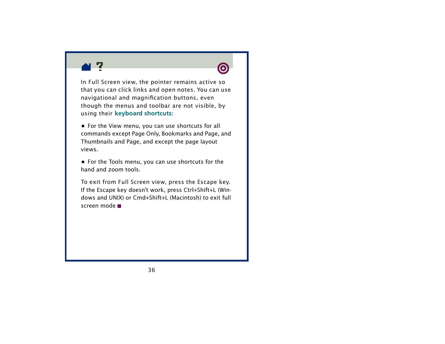



In Full Screen view, the pointer remains active so that you can click links and open notes. You can use navigational and magnification buttons, even though the menus and toolbar are not visible, by using their **[keyboard shortcuts](#page-93-0)**:

**•** For the View menu, you can use shortcuts for all commands except Page Only, Bookmarks and Page, and Thumbnails and Page, and except the page layout views.

**•** For the Tools menu, you can use shortcuts for the hand and zoom tools.

To exit from Full Screen view, press the Escape key. If the Escape key doesn't work, press Ctrl+Shift+L (Windows and UNIX) or Cmd+Shift+L (Macintosh) to exit full screen mode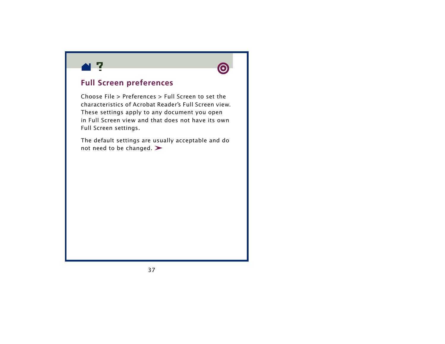



## **Full Screen preferences**

Choose File > Preferences > Full Screen to set the characteristics of Acrobat Reader's Full Screen view. These settings apply to any document you open in Full Screen view and that does not have its own Full Screen settings.

The default settings are usually acceptable and do not need to be changed.  $\blacktriangleright$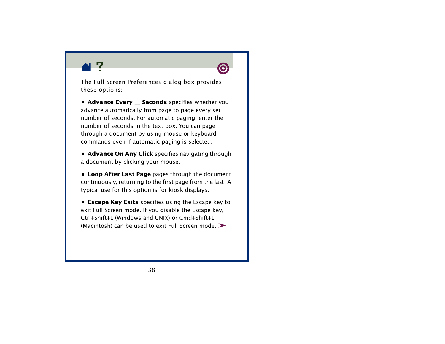

The Full Screen Preferences dialog box provides these options:

**• Advance Every \_\_ Seconds** specifies whether you advance automatically from page to page every set number of seconds. For automatic paging, enter the number of seconds in the text box. You can page through a document by using mouse or keyboard commands even if automatic paging is selected.

**• Advance On Any Click** specifies navigating through a document by clicking your mouse.

**• Loop After Last Page** pages through the document continuously, returning to the first page from the last. A typical use for this option is for kiosk displays.

**• Escape Key Exits** specifies using the Escape key to exit Full Screen mode. If you disable the Escape key, Ctrl+Shift+L (Windows and UNIX) or Cmd+Shift+L (Macintosh) can be used to exit Full Screen mode.  $\triangleright$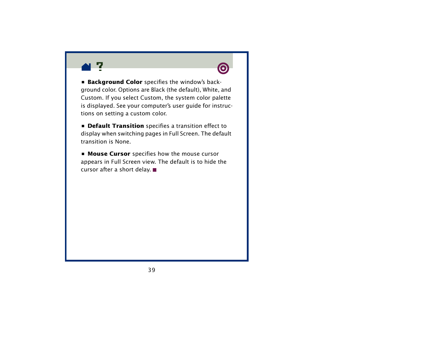



**• Background Color** specifies the window's background color. Options are Black (the default), White, and Custom. If you select Custom, the system color palette is displayed. See your computer's user guide for instructions on setting a custom color.

**• Default Transition** specifies a transition effect to display when switching pages in Full Screen. The default transition is None.

**• Mouse Cursor** specifies how the mouse cursor appears in Full Screen view. The default is to hide the cursor after a short delay.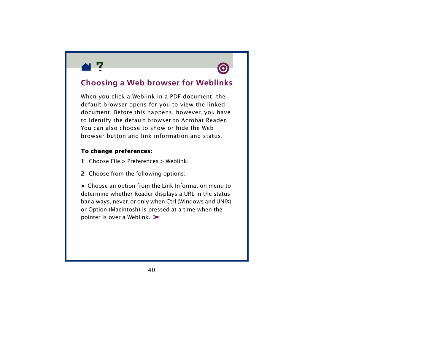<span id="page-39-0"></span>



## **Choosing a Web browser for Weblinks**

When you click a Weblink in a PDF document, the default browser opens for you to view the linked document. Before this happens, however, you have to identify the default browser to Acrobat Reader. You can also choose to show or hide the Web browser button and link information and status.

### **To change preferences:**

- **1** Choose File > Preferences > Weblink.
- **2** Choose from the following options:

**•** Choose an option from the Link Information menu to determine whether Reader displays a URL in the status bar always, never, or only when Ctrl (Windows and UNIX) or Option (Macintosh) is pressed at a time when the pointer is over a Weblink.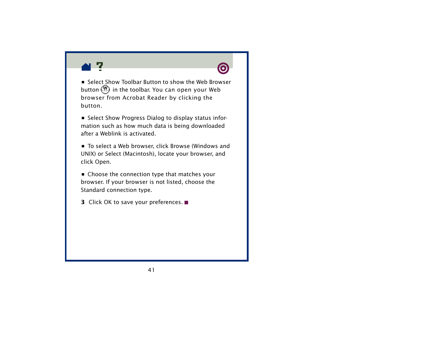



**•** Select Show Toolbar Button to show the Web Browser button  $\mathcal{W}$  in the toolbar. You can open your Web browser from Acrobat Reader by clicking the button.

**•** Select Show Progress Dialog to display status information such as how much data is being downloaded after a Weblink is activated.

**•** To select a Web browser, click Browse (Windows and UNIX) or Select (Macintosh), locate your browser, and click Open.

**•** Choose the connection type that matches your browser. If your browser is not listed, choose the Standard connection type.

**3** Click OK to save your preferences.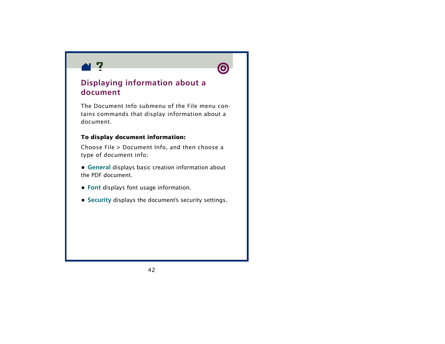



# **Displaying information about a document**

The Document Info submenu of the File menu contains commands that display information about a document.

## **To display document information:**

Choose File > Document Info, and then choose a type of document info:

**• [General](#page-42-0)** displays basic creation information about the PDF document.

- **• [Font](#page-44-0)** displays font usage information.
- **• [Security](#page-45-0)** displays the document's security settings.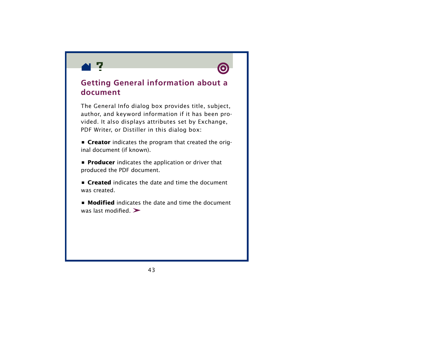<span id="page-42-0"></span>



## **Getting General information about a document**

The General Info dialog box provides title, subject, author, and keyword information if it has been provided. It also displays attributes set by Exchange, PDF Writer, or Distiller in this dialog box:

**• Creator** indicates the program that created the original document (if known).

**• Producer** indicates the application or driver that produced the PDF document.

**• Created** indicates the date and time the document was created.

**• Modified** indicates the date and time the document was last modified.  $\blacktriangleright$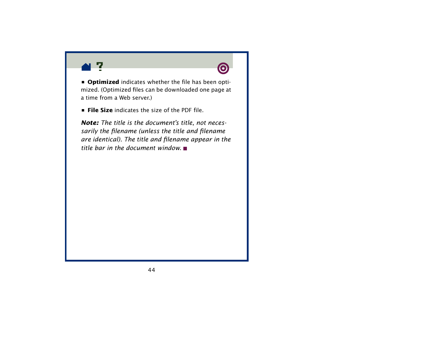



**• Optimized** indicates whether the file has been optimized. (Optimized files can be downloaded one page at a time from a Web server.

**• File Size** indicates the size of the PDF file.

*Note: The title is the document's title, not necessarily the filename (unless the title and filename are identical). The title and filename appear in the title bar in the document window.*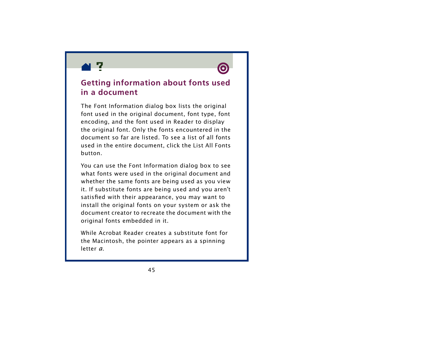<span id="page-44-0"></span>



## **Getting information about fonts used in a document**

The Font Information dialog box lists the original font used in the original document, font type, font encoding, and the font used in Reader to display the original font. Only the fonts encountered in the document so far are listed. To see a list of all fonts used in the entire document, click the List All Fonts button.

You can use the Font Information dialog box to see what fonts were used in the original document and whether the same fonts are being used as you view it. If substitute fonts are being used and you aren't satisfied with their appearance, you may want to install the original fonts on your system or ask the document creator to recreate the document with the original fonts embedded in it.

While Acrobat Reader creates a substitute font for the Macintosh, the pointer appears as a spinning letter *a*.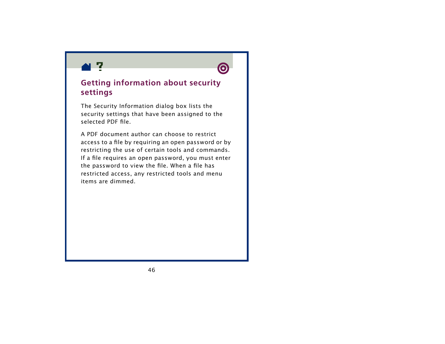<span id="page-45-0"></span>



## **Getting information about security settings**

The Security Information dialog box lists the security settings that have been assigned to the selected PDF file.

A PDF document author can choose to restrict access to a file by requiring an open password or by restricting the use of certain tools and commands. If a file requires an open password, you must enter the password to view the file. When a file has restricted access, any restricted tools and menu items are dimmed.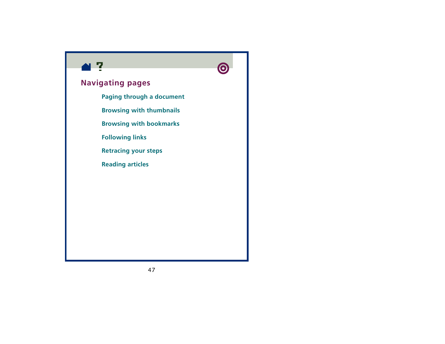



# **Navigating pages**

**[Paging through a document](#page-47-0)**

**[Browsing with thumbnails](#page-50-0)**

**[Browsing with bookmarks](#page-53-0)**

**[Following links](#page-54-0)**

**[Retracing your steps](#page-55-0)**

**[Reading articles](#page-56-0)**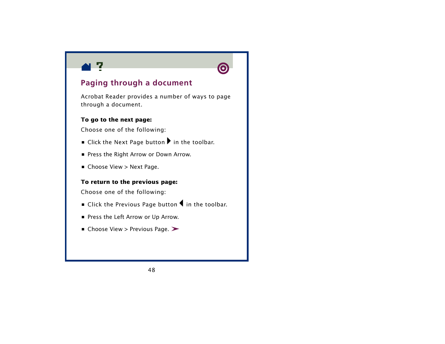<span id="page-47-0"></span>



# **Paging through a document**

Acrobat Reader provides a number of ways to page through a document.

### **To go to the next page:**

Choose one of the following:

- **E** Click the Next Page button **I** in the toolbar.
- **•** Press the Right Arrow or Down Arrow.
- **•** Choose View > Next Page.

### **To return to the previous page:**

Choose one of the following:

- **•** Click the Previous Page button **I** in the toolbar.
- **•** Press the Left Arrow or Up Arrow.
- **•** Choose View > Previous Page.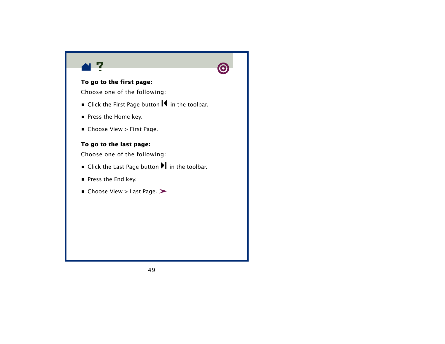



### **To go to the first page:**

Choose one of the following:

- **•** Click the First Page button  $\mathbf{R}$  in the toolbar.
- **•** Press the Home key.
- **•** Choose View > First Page.

### **To go to the last page:**

Choose one of the following:

- **•** Click the Last Page button **I** in the toolbar.
- **•** Press the End key.
- **•** Choose View > Last Page.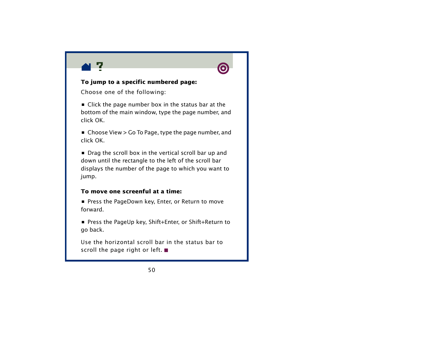



### **To jump to a specific numbered page:**

Choose one of the following:

**•** Click the page number box in the status bar at the bottom of the main window, type the page number, and click OK.

**•** Choose View > Go To Page, type the page number, and click OK.

**•** Drag the scroll box in the vertical scroll bar up and down until the rectangle to the left of the scroll bar displays the number of the page to which you want to jump.

### **To move one screenful at a time:**

**•** Press the PageDown key, Enter, or Return to move forward.

**•** Press the PageUp key, Shift+Enter, or Shift+Return to go back.

Use the horizontal scroll bar in the status bar to scroll the page right or left.  $\blacksquare$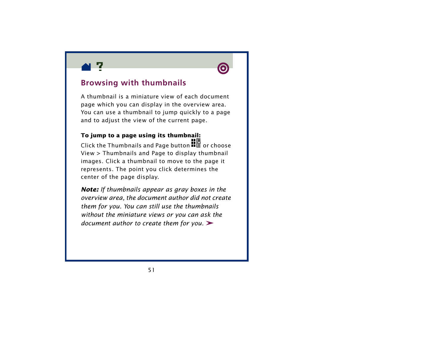<span id="page-50-0"></span>



# **Browsing with thumbnails**

A thumbnail is a miniature view of each document page which you can display in the overview area. You can use a thumbnail to jump quickly to a page and to adjust the view of the current page.

## **To jump to a page using its thumbnail:**

Click the Thumbnails and Page button  $\blacksquare\blacksquare$  or choose View > Thumbnails and Page to display thumbnail images. Click a thumbnail to move to the page it represents. The point you click determines the center of the page display.

*Note: If thumbnails appear as gray boxes in the overview area, the document author did not create them for you. You can still use the thumbnails without the miniature views or you can ask the document author to create them for you.*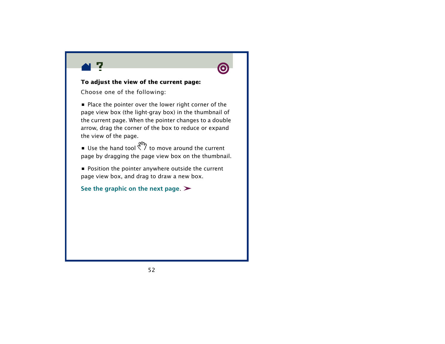



### **To adjust the view of the current page:**

Choose one of the following:

**•** Place the pointer over the lower right corner of the page view box (the light-gray box) in the thumbnail of the current page. When the pointer changes to a double arrow, drag the corner of the box to reduce or expand the view of the page.

**•** Use the hand tool  $\frac{q_0}{q_1}$  to move around the current page by dragging the page view box on the thumbnail.

**•** Position the pointer anywhere outside the current page view box, and drag to draw a new box.

**[See the graphic on the next page](#page-52-0)**.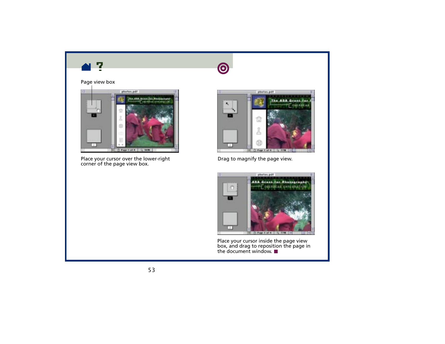<span id="page-52-0"></span>





Place your cursor over the lower-right  $\rule{1em}{0.15mm}$  Drag to magnify the page view. corner of the page view box.





Place your cursor inside the page view box, and drag to reposition the page in the document window.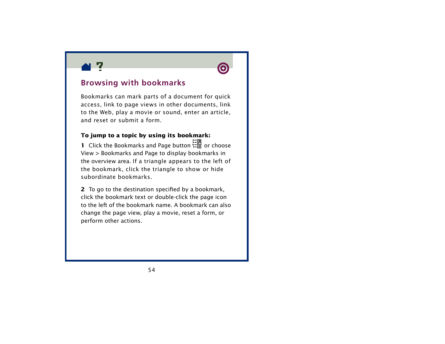<span id="page-53-0"></span>



## **Browsing with bookmarks**

Bookmarks can mark parts of a document for quick access, link to page views in other documents, link to the Web, play a movie or sound, enter an article, and reset or submit a form.

### **To jump to a topic by using its bookmark:**

**1** Click the Bookmarks and Page button  $\frac{1}{12}$  or choose View > Bookmarks and Page to display bookmarks in the overview area. If a triangle appears to the left of the bookmark, click the triangle to show or hide subordinate bookmarks.

**2**To go to the destination specified by a bookmark, click the bookmark text or double-click the page icon to the left of the bookmark name. A bookmark can also change the page view, play a movie, reset a form, or perform other actions.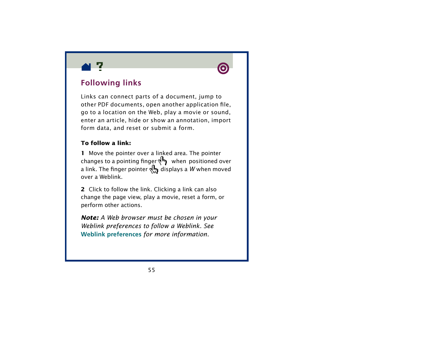<span id="page-54-0"></span>



# **Following links**

Links can connect parts of a document, jump to other PDF documents, open another application file, go to a location on the Web, play a movie or sound, enter an article, hide or show an annotation, import form data, and reset or submit a form.

### **To follow a link:**

**1** Move the pointer over a linked area. The pointer changes to a pointing finger  $\P^{\blacksquare}$  when positioned over a link. The finger pointer  $\prod_{i=1}^n$  displays a *W* when moved over a Weblink.

**2** Click to follow the link. Clicking a link can also change the page view, play a movie, reset a form, or perform other actions.

*Note: A Web browser must be chosen in your Weblink preferences to follow a Weblink. See*  **[Weblink preferences](#page-39-0)** *for more information.*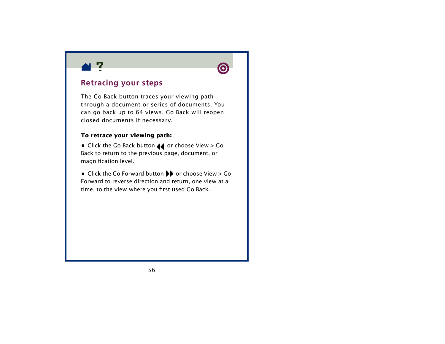<span id="page-55-0"></span>



## **Retracing your steps**

The Go Back button traces your viewing path through a document or series of documents. You can go back up to 64 views. Go Back will reopen closed documents if necessary.

## **To retrace your viewing path:**

**•** Click the Go Back button  $\blacktriangleleft$  or choose View > Go Back to return to the previous page, document, or magnification level.

■ Click the Go Forward button ▶ or choose View > Go Forward to reverse direction and return, one view at a time, to the view where you first used Go Back.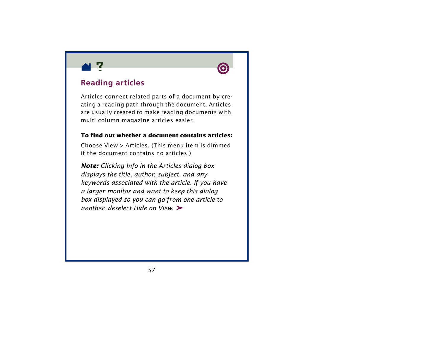<span id="page-56-0"></span>



# **Reading articles**

Articles connect related parts of a document by creating a reading path through the document. Articles are usually created to make reading documents with multi column magazine articles easier.

### **To find out whether a document contains articles:**

Choose View > Articles. (This menu item is dimmed if the document contains no articles.)

*Note: Clicking Info in the Articles dialog box displays the title, author, subject, and any keywords associated with the article. If you have a larger monitor and want to keep this dialog box displayed so you can go from one article to another, deselect Hide on View.*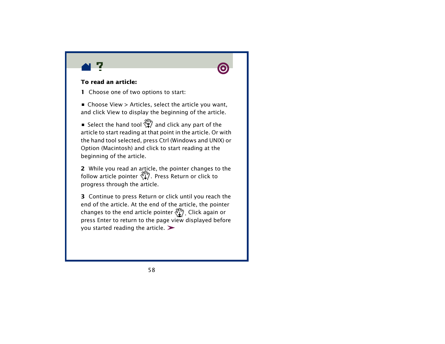



### **To read an article:**

**1** Choose one of two options to start:

**•** Choose View > Articles, select the article you want, and click View to display the beginning of the article.

**•** Select the hand tool  $\mathbb{F}^m$  and click any part of the article to start reading at that point in the article. Or with the hand tool selected, press Ctrl (Windows and UNIX) or Option (Macintosh) and click to start reading at the beginning of the article.

**2** While you read an article, the pointer changes to the follow article pointer  $\mathcal{C}_1^{\mathsf{TP}}$ . Press Return or click to progress through the article.

**3** Continue to press Return or click until you reach the end of the article. At the end of the article, the pointer changes to the end article pointer  $\frac{d^n}{dx}$ . Click again or press Enter to return to the page view displayed before you started reading the article.  $\blacktriangleright$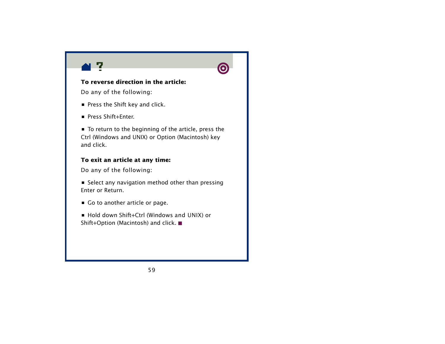



## **To reverse direction in the article:**

Do any of the following:

- Press the Shift key and click.
- **•** Press Shift+Enter.

**•** To return to the beginning of the article, press the Ctrl (Windows and UNIX) or Option (Macintosh) key and click.

### **To exit an article at any time:**

Do any of the following:

**•** Select any navigation method other than pressing Enter or Return.

- **•** Go to another article or page.
- **•** Hold down Shift+Ctrl (Windows and UNIX) or Shift+Option (Macintosh) and click. ■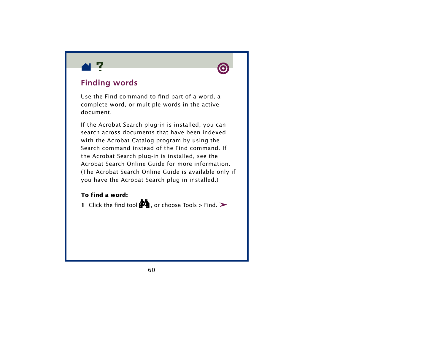



# **Finding words**

Use the Find command to find part of a word, a complete word, or multiple words in the active document.

If the Acrobat Search plug-in is installed, you can search across documents that have been indexed with the Acrobat Catalog program by using the Search command instead of the Find command. If the Acrobat Search plug-in is installed, see the Acrobat Search Online Guide for more information. (The Acrobat Search Online Guide is available only if you have the Acrobat Search plug-in installed.)

### **To find a word:**

**1** Click the find tool  $\mathbf{u}_1$ , or choose Tools > Find.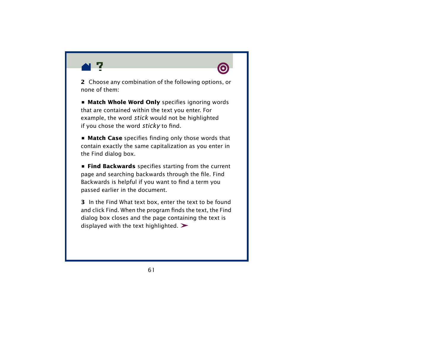

**2** Choose any combination of the following options, or none of them:

**• Match Whole Word Only** specifies ignoring words that are contained within the text you enter. For example, the word *stick* would not be highlighted if you chose the word *sticky* to find.

**• Match Case** specifies finding only those words that contain exactly the same capitalization as you enter in the Find dialog box.

**• Find Backwards** specifies starting from the current page and searching backwards through the file. Find Backwards is helpful if you want to find a term you passed earlier in the document.

**3** In the Find What text box, enter the text to be found and click Find. When the program finds the text, the Find dialog box closes and the page containing the text is displayed with the text highlighted.  $\blacktriangleright$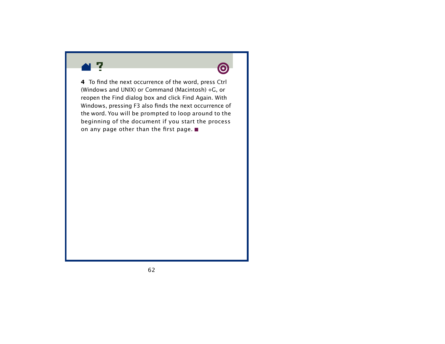



**4** To find the next occurrence of the word, press Ctrl (Windows and UNIX) or Command (Macintosh) +G, or reopen the Find dialog box and click Find Again. With Windows, pressing F3 also finds the next occurrence of the word. You will be prompted to loop around to the beginning of the document if you start the process on any page other than the first page.  $\blacksquare$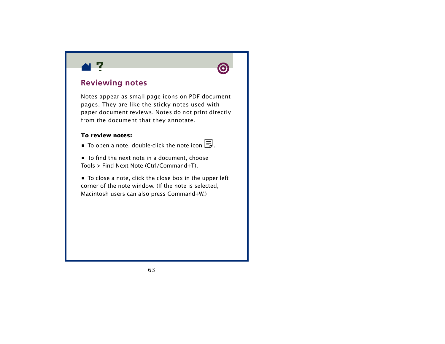



# **Reviewing notes**

Notes appear as small page icons on PDF document pages. They are like the sticky notes used with paper document reviews. Notes do not print directly from the document that they annotate.

### **To review notes:**

- **•** To open a note, double-click the note icon  $\Xi$ .
- **•** To find the next note in a document, choose Tools > Find Next Note (Ctrl/Command+T).
- **•** To close a note, click the close box in the upper left corner of the note window. (If the note is selected, Macintosh users can also press Command+W.)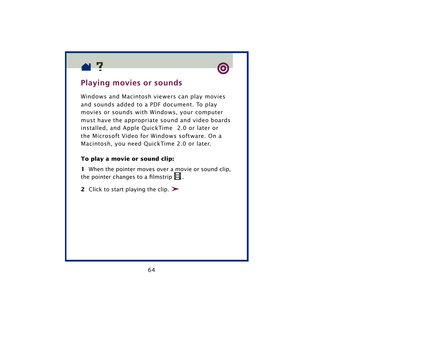



## **Playing movies or sounds**

Windows and Macintosh viewers can play movies and sounds added to a PDF document. To play movies or sounds with Windows, your computer must have the appropriate sound and video boards installed, and Apple OuickTime™ 2.0 or later or the Microsoft Video for Windows software. On a Macintosh, you need QuickTime 2.0 or later.

## **To play a movie or sound clip:**

**1** When the pointer moves over a movie or sound clip, the pointer changes to a filmstrip  $\boxplus$  .

**2** Click to start playing the clip.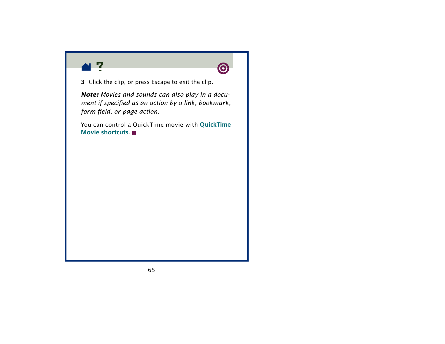



**3** Click the clip, or press Escape to exit the clip.

*Note: Movies and sounds can also play in a document if specified as an action by a link, bookmark, form field, or page action.*

You can control a QuickTime movie with **[QuickTime](#page-65-0)  [Movie shortcuts](#page-65-0)**.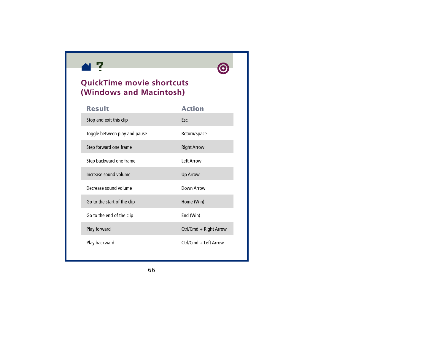<span id="page-65-0"></span>



# **QuickTime movie shortcuts (Windows and Macintosh)**

| <b>Result</b>                 | <b>Action</b>          |
|-------------------------------|------------------------|
| Stop and exit this clip       | Esc                    |
| Toggle between play and pause | Return/Space           |
| Step forward one frame        | <b>Right Arrow</b>     |
| Step backward one frame       | <b>Left Arrow</b>      |
| Increase sound volume         | <b>Up Arrow</b>        |
| Decrease sound volume         | Down Arrow             |
| Go to the start of the clip   | Home (Win)             |
| Go to the end of the clip     | End (Win)              |
| Play forward                  | Ctrl/Cmd + Right Arrow |
| Play backward                 | Ctrl/Cmd + Left Arrow  |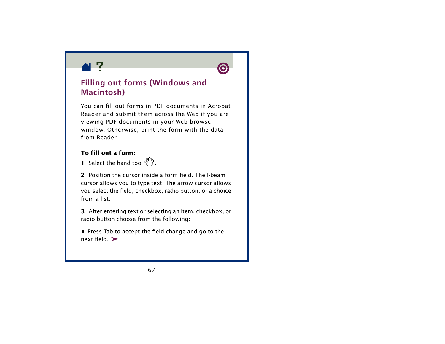



# **Filling out forms (Windows and Macintosh)**

You can fill out forms in PDF documents in Acrobat Reader and submit them across the Web if you are viewing PDF documents in your Web browser window. Otherwise, print the form with the data from Reader.

## **To fill out a form:**

**1** Select the hand tool  $\binom{m}{l}$ .

**2** Position the cursor inside a form field. The I-beam cursor allows you to type text. The arrow cursor allows you select the field, checkbox, radio button, or a choice from a list.

**3** After entering text or selecting an item, checkbox, or radio button choose from the following:

**•** Press Tab to accept the field change and go to the next field >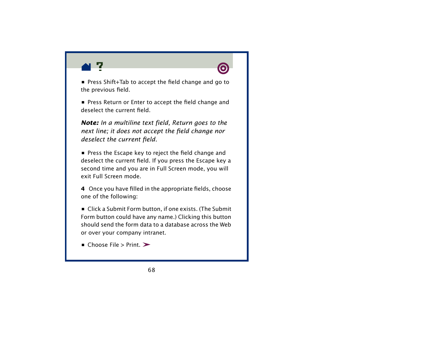

**•** Press Shift+Tab to accept the field change and go to the previous field.

**•** Press Return or Enter to accept the field change and deselect the current field.

*Note: In a multiline text field, Return goes to the next line; it does not accept the field change nor deselect the current field.*

**•** Press the Escape key to reject the field change and deselect the current field. If you press the Escape key a second time and you are in Full Screen mode, you will exit Full Screen mode.

**4** Once you have filled in the appropriate fields, choose one of the following:

**•** Click a Submit Form button, if one exists. (The Submit Form button could have any name.) Clicking this button should send the form data to a database across the Web or over your company intranet.

**•** Choose File > Print.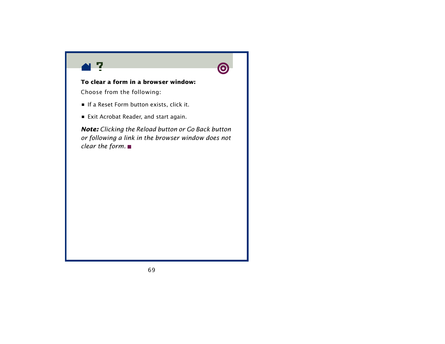



## **To clear a form in a browser window:**

Choose from the following:

- **•** If a Reset Form button exists, click it.
- **•** Exit Acrobat Reader, and start again.

*Note: Clicking the Reload button or Go Back button or following a link in the browser window does not clear the form.*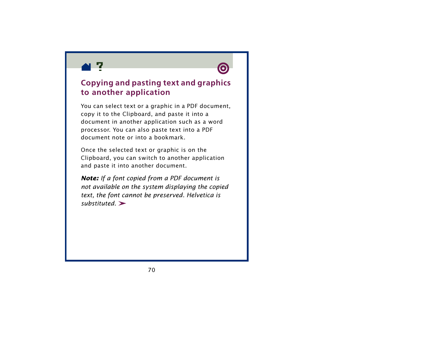



## **Copying and pasting text and graphics to another application**

You can select text or a graphic in a PDF document, copy it to the Clipboard, and paste it into a document in another application such as a word processor. You can also paste text into a PDF document note or into a bookmark.

Once the selected text or graphic is on the Clipboard, you can switch to another application and paste it into another document.

*Note: If a font copied from a PDF document is not available on the system displaying the copied text, the font cannot be preserved. Helvetica is substituted.*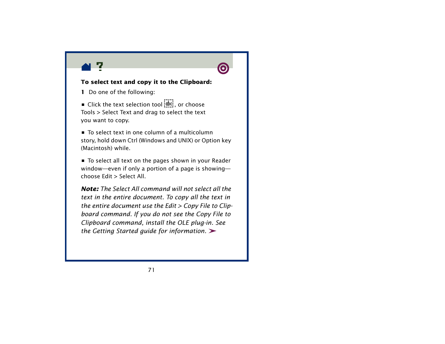



### **To select text and copy it to the Clipboard:**

**1** Do one of the following:

■ Click the text selection tool  $\frac{1}{20}$ , or choose Tools > Select Text and drag to select the text you want to copy.

**•** To select text in one column of a multicolumn story, hold down Ctrl (Windows and UNIX) or Option key (Macintosh) while.

**•** To select all text on the pages shown in your Reader window—even if only a portion of a page is showing choose Edit > Select All.

*Note: The Select All command will not select all the text in the entire document. To copy all the text in the entire document use the Edit > Copy File to Clipboard command. If you do not see the Copy File to Clipboard command, install the OLE plug-in. See the Getting Started guide for information.*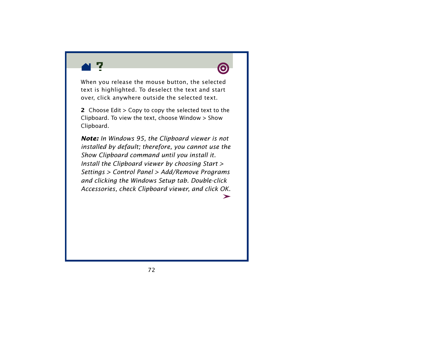



When you release the mouse button, the selected text is highlighted. To deselect the text and start over, click anywhere outside the selected text.

**2** Choose Edit > Copy to copy the selected text to the Clipboard. To view the text, choose Window > Show Clipboard.

*Note: In Windows 95, the Clipboard viewer is not installed by default; therefore, you cannot use the Show Clipboard command until you install it. Install the Clipboard viewer by choosing Start > Settings > Control Panel > Add/Remove Programs and clicking the Windows Setup tab. Double-click Accessories, check Clipboard viewer, and click OK.*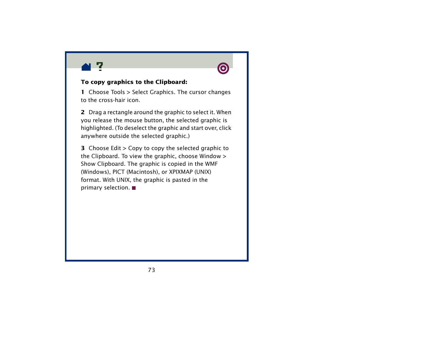



#### **To copy graphics to the Clipboard:**

**1** Choose Tools > Select Graphics. The cursor changes to the cross-hair icon.

**2** Drag a rectangle around the graphic to select it. When you release the mouse button, the selected graphic is highlighted. (To deselect the graphic and start over, click anywhere outside the selected graphic.)

**3** Choose Edit > Copy to copy the selected graphic to the Clipboard. To view the graphic, choose Window > Show Clipboard. The graphic is copied in the WMF (Windows), PICT (Macintosh), or XPIXMAP (UNIX) format. With UNIX, the graphic is pasted in the primary selection.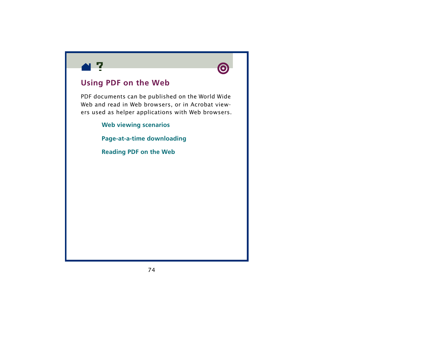



### **Using PDF on the Web**

PDF documents can be published on the World Wide Web and read in Web browsers, or in Acrobat viewers used as helper applications with Web browsers.

**[Web viewing scenarios](#page-74-0)**

**[Page-at-a-time downloading](#page-76-0)**

**[Reading PDF on the Web](#page-77-0)**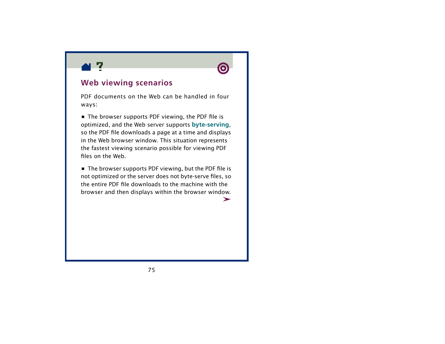<span id="page-74-0"></span>



### **Web viewing scenarios**

PDF documents on the Web can be handled in four ways:

**•** The browser supports PDF viewing, the PDF file is optimized, and the Web server supports **[byte-serving](#page-76-0)**, so the PDF file downloads a page at a time and displays in the Web browser window. This situation represents the fastest viewing scenario possible for viewing PDF files on the Web.

**•** The browser supports PDF viewing, but the PDF file is not optimized or the server does not byte-serve files, so the entire PDF file downloads to the machine with the browser and then displays within the browser window.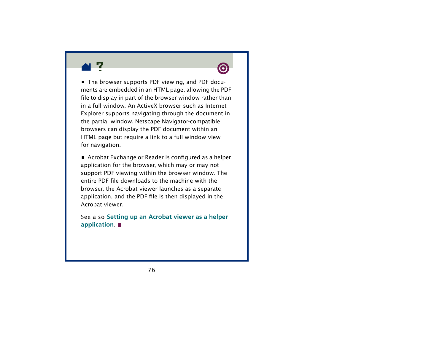



**•** The browser supports PDF viewing, and PDF documents are embedded in an HTML page, allowing the PDF file to display in part of the browser window rather than in a full window. An ActiveX browser such as Internet Explorer supports navigating through the document in the partial window. Netscape Navigator-compatible browsers can display the PDF document within an HTML page but require a link to a full window view for navigation.

**•** Acrobat Exchange or Reader is configured as a helper application for the browser, which may or may not support PDF viewing within the browser window. The entire PDF file downloads to the machine with the browser, the Acrobat viewer launches as a separate application, and the PDF file is then displayed in the Acrobat viewer.

See also **[Setting up an Acrobat viewer as a helper](#page-85-0)  [application](#page-85-0)**.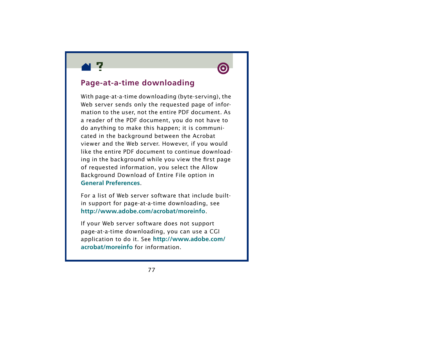<span id="page-76-0"></span>



### **Page-at-a-time downloading**

With page-at-a-time downloading (byte-serving), the Web server sends only the requested page of information to the user, not the entire PDF document. As a reader of the PDF document, you do not have to do anything to make this happen; it is communicated in the background between the Acrobat viewer and the Web server. However, if you would like the entire PDF document to continue downloading in the background while you view the first page of requested information, you select the Allow Background Download of Entire File option in **[General Preferences](#page-28-0)**.

For a list of Web server software that include builtin support for page-at-a-time downloading, see **<http://www.adobe.com/acrobat/moreinfo>**.

If your Web server software does not support page-at-a-time downloading, you can use a CGI application to do it. See **[http://www.adobe.com/](http://www.adobe.com/acrobat/moreinfo) [acrobat/moreinfo](http://www.adobe.com/acrobat/moreinfo)** for information.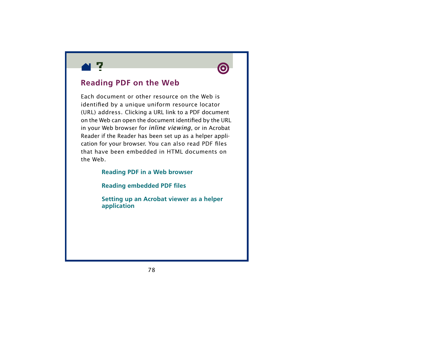<span id="page-77-0"></span>



### **Reading PDF on the Web**

Each document or other resource on the Web is identified by a unique uniform resource locator (URL) address. Clicking a URL link to a PDF document on the Web can open the document identified by the URL in your Web browser for *inline viewing*, or in Acrobat Reader if the Reader has been set up as a helper application for your browser. You can also read PDF files that have been embedded in HTML documents on the Web.

#### **[Reading PDF in a Web browser](#page-78-0)**

**[Reading embedded PDF files](#page-84-0)**

**[Setting up an Acrobat viewer as a helper](#page-85-0)  [application](#page-85-0)**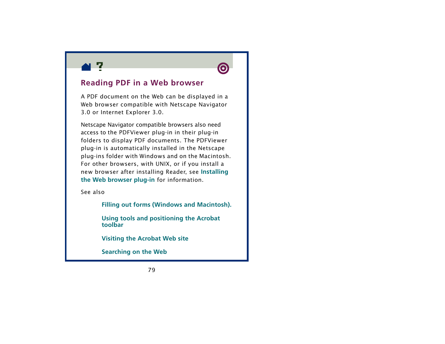<span id="page-78-0"></span>



### **Reading PDF in a Web browser**

A PDF document on the Web can be displayed in a Web browser compatible with Netscape Navigator 3.0 or Internet Explorer 3.0.

Netscape Navigator compatible browsers also need access to the PDFViewer plug-in in their plug-in folders to display PDF documents. The PDFViewer plug-in is automatically installed in the Netscape plug-ins folder with Windows and on the Macintosh. For other browsers, with UNIX, or if you install a new browser after installing Reader, see **[Installing](#page-87-0)  [the Web browser plug-in](#page-87-0)** for information.

See also

**[Filling out forms \(Windows and Macintosh\)](#page-66-0).**

**[Using tools and positioning the Acrobat](#page-79-0)  [toolbar](#page-79-0)**

**[Visiting the Acrobat](#page-81-0)  Web site**

**[Searching on the Web](#page-82-0)**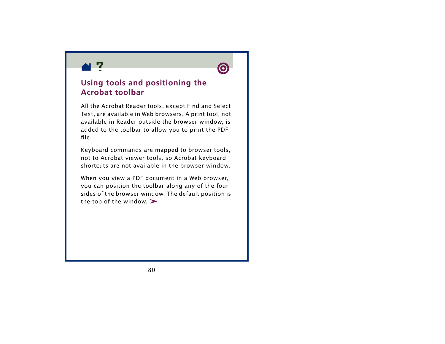<span id="page-79-0"></span>



# **Using tools and positioning the Acrobat toolbar**

All the Acrobat Reader tools, except Find and Select Text, are available in Web browsers. A print tool, not available in Reader outside the browser window, is added to the toolbar to allow you to print the PDF file.

Keyboard commands are mapped to browser tools, not to Acrobat viewer tools, so Acrobat keyboard shortcuts are not available in the browser window.

When you view a PDF document in a Web browser, you can position the toolbar along any of the four sides of the browser window. The default position is the top of the window.  $\blacktriangleright$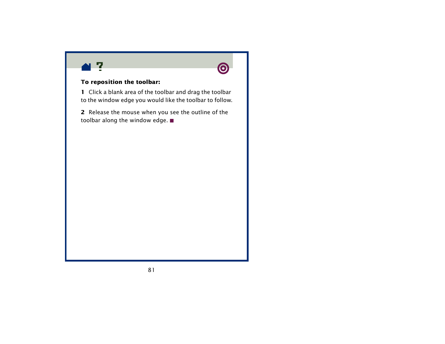



#### **To reposition the toolbar:**

**1** Click a blank area of the toolbar and drag the toolbar to the window edge you would like the toolbar to follow.

**2** Release the mouse when you see the outline of the toolbar along the window edge.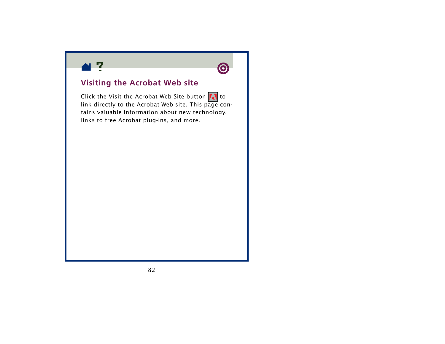<span id="page-81-0"></span>



### **Visiting the Acrobat Web site**

Click the Visit the Acrobat Web Site button  $\Lambda$  to link directly to the Acrobat Web site. This page contains valuable information about new technology, links to free Acrobat plug-ins, and more.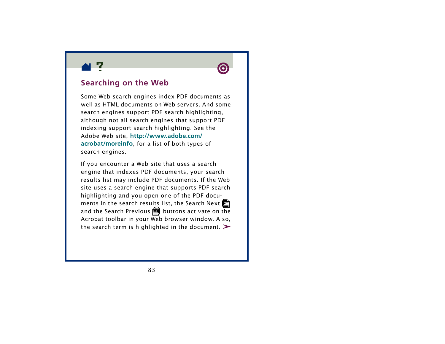<span id="page-82-0"></span>



### **Searching on the Web**

Some Web search engines index PDF documents as well as HTML documents on Web servers. And some search engines support PDF search highlighting, although not all search engines that support PDF indexing support search highlighting. See the Adobe Web site, **[http://www.adobe.com/](http://www.adobe.com/acrobat/moreinfo) [acrobat/moreinfo](http://www.adobe.com/acrobat/moreinfo)**, for a list of both types of search engines.

If you encounter a Web site that uses a search engine that indexes PDF documents, your search results list may include PDF documents. If the Web site uses a search engine that supports PDF search highlighting and you open one of the PDF documents in the search results list, the Search Next and the Search Previous  $\mathbf{\Xi}$  buttons activate on the Acrobat toolbar in your Web browser window. Also, the search term is highlighted in the document.  $\blacktriangleright$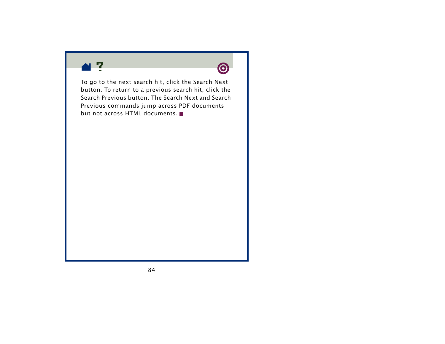



To go to the next search hit, click the Search Next button. To return to a previous search hit, click the Search Previous button. The Search Next and Search Previous commands jump across PDF documents but not across HTML documents.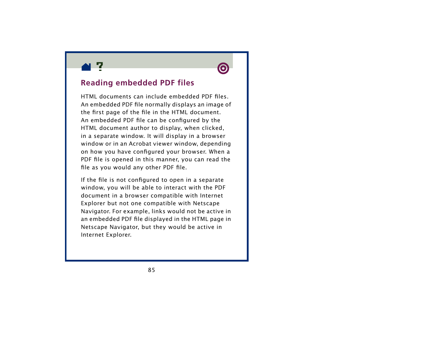<span id="page-84-0"></span>



### **Reading embedded PDF files**

HTML documents can include embedded PDF files. An embedded PDF file normally displays an image of the first page of the file in the HTML document. An embedded PDF file can be configured by the HTML document author to display, when clicked, in a separate window. It will display in a browser window or in an Acrobat viewer window, depending on how you have configured your browser. When a PDF file is opened in this manner, you can read the file as you would any other PDF file.

If the file is not configured to open in a separate window, you will be able to interact with the PDF document in a browser compatible with Internet Explorer but not one compatible with Netscape Navigator. For example, links would not be active in an embedded PDF file displayed in the HTML page in Netscape Navigator, but they would be active in Internet Explorer.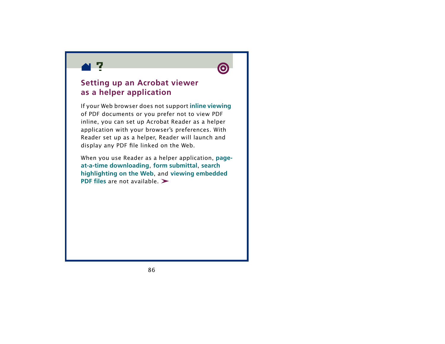<span id="page-85-0"></span>



# **Setting up an Acrobat viewer as a helper application**

If your Web browser does not support **[inline viewing](#page-77-0)** of PDF documents or you prefer not to view PDF inline, you can set up Acrobat Reader as a helper application with your browser's preferences. With Reader set up as a helper, Reader will launch and display any PDF file linked on the Web.

When you use Reader as a helper application, **[page](#page-76-0)[at-a-time downloading](#page-76-0)**, **[form submittal](#page-66-0)**, **[search](#page-82-0)  [highlighting on the Web](#page-82-0)**, and **[viewing embedded](#page-84-0)  [PDF files](#page-84-0)** are not available.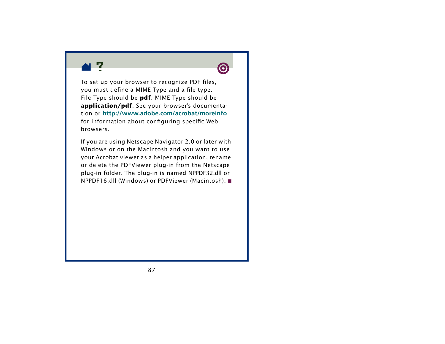



To set up your browser to recognize PDF files, you must define a MIME Type and a file type. File Type should be **pdf**. MIME Type should be **application/pdf**. See your browser's documentation or **<http://www.adobe.com/acrobat/moreinfo>** for information about configuring specific Web browsers.

If you are using Netscape Navigator 2.0 or later with Windows or on the Macintosh and you want to use your Acrobat viewer as a helper application, rename or delete the PDFViewer plug-in from the Netscape plug-in folder. The plug-in is named NPPDF32.dll or NPPDF16.dll (Windows) or PDFViewer (Macintosh).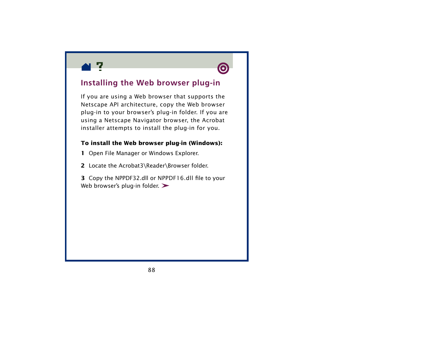<span id="page-87-0"></span>



# **Installing the Web browser plug-in**

If you are using a Web browser that supports the Netscape API architecture, copy the Web browser plug-in to your browser's plug-in folder. If you are using a Netscape Navigator browser, the Acrobat installer attempts to install the plug-in for you.

#### **To install the Web browser plug-in (Windows):**

- **1** Open File Manager or Windows Explorer.
- **2** Locate the Acrobat3\Reader\Browser folder.
- **3** Copy the NPPDF32.dll or NPPDF16.dll file to your Web browser's plug-in folder.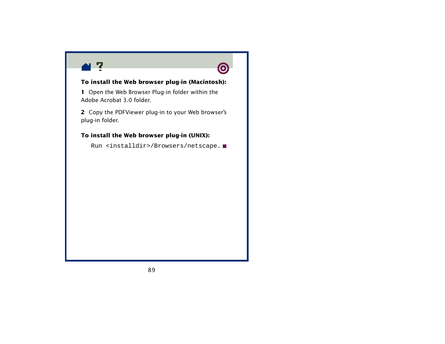



#### **To install the Web browser plug-in (Macintosh):**

**1** Open the Web Browser Plug-in folder within the Adobe Acrobat 3.0 folder.

**2** Copy the PDFViewer plug-in to your Web browser's plug-in folder.

#### **To install the Web browser plug-in (UNIX):**

Run <installdir>/Browsers/netscape.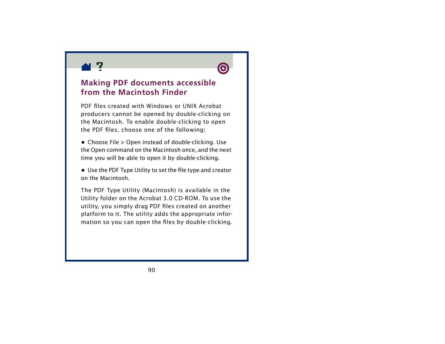



### **Making PDF documents accessible from the Macintosh Finder**

PDF files created with Windows or UNIX Acrobat producers cannot be opened by double-clicking on the Macintosh. To enable double-clicking to open the PDF files, choose one of the following:

**•** Choose File > Open instead of double-clicking. Use the Open command on the Macintosh once, and the next time you will be able to open it by double-clicking.

**•** Use the PDF Type Utility to set the file type and creator on the Macintosh.

The PDF Type Utility (Macintosh) is available in the Utility folder on the Acrobat 3.0 CD-ROM. To use the utility, you simply drag PDF files created on another platform to it. The utility adds the appropriate information so you can open the files by double-clicking.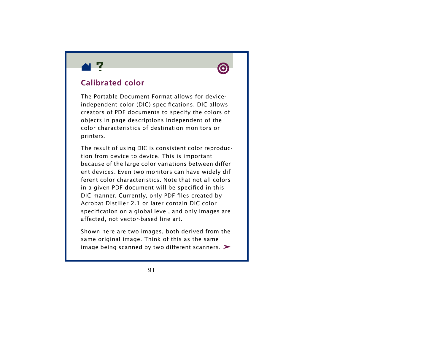



### **Calibrated color**

The Portable Document Format allows for deviceindependent color (DIC) specifications. DIC allows creators of PDF documents to specify the colors of objects in page descriptions independent of the color characteristics of destination monitors or printers.

The result of using DIC is consistent color reproduction from device to device. This is important because of the large color variations between different devices. Even two monitors can have widely different color characteristics. Note that not all colors in a given PDF document will be specified in this DIC manner. Currently, only PDF files created by Acrobat Distiller 2.1 or later contain DIC color specification on a global level, and only images are affected, not vector-based line art.

Shown here are two images, both derived from the same original image. Think of this as the same image being scanned by two different scanners.  $\blacktriangleright$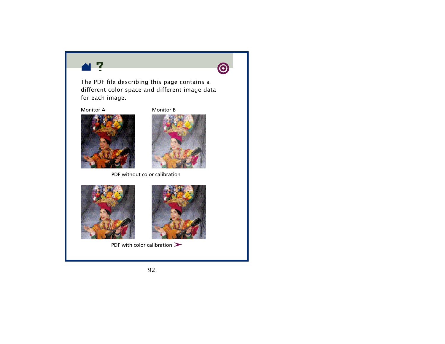



The PDF file describing this page contains a different color space and different image data for each image.

Monitor A



Monitor B



PDF without color calibration





PDF with color calibration  $\blacktriangleright$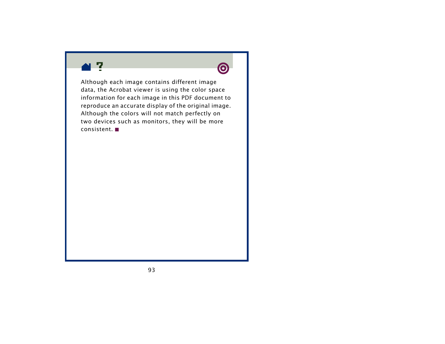



Although each image contains different image data, the Acrobat viewer is using the color space information for each image in this PDF document to reproduce an accurate display of the original image. Although the colors will not match perfectly on two devices such as monitors, they will be more consistent.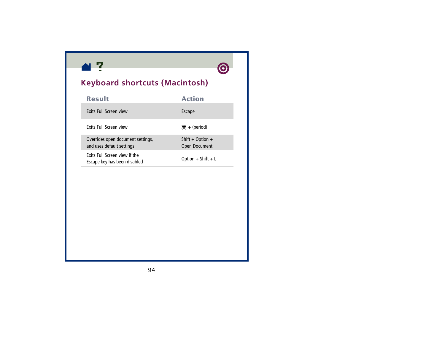



# **Keyboard shortcuts (Macintosh)**

| <b>Result</b>                                                  | <b>Action</b>                            |
|----------------------------------------------------------------|------------------------------------------|
| Exits Full Screen view                                         | Escape                                   |
| <b>Exits Full Screen view</b>                                  | $H + (period)$                           |
| Overrides open document settings,<br>and uses default settings | Shift + Option +<br><b>Open Document</b> |
| Exits Full Screen view if the<br>Escape key has been disabled  | Option + Shift + $L$                     |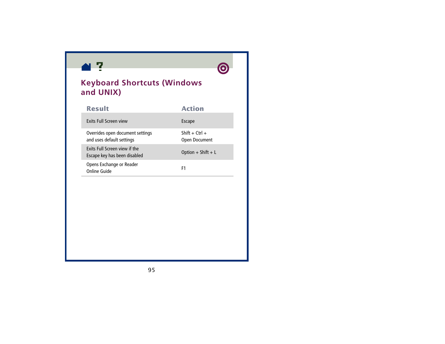



# **Keyboard Shortcuts (Windows and UNIX)**

| <b>Result</b>                                                 | <b>Action</b>                      |
|---------------------------------------------------------------|------------------------------------|
| Exits Full Screen view                                        | Escape                             |
| Overrides open document settings<br>and uses default settings | Shift + $C$ trl +<br>Open Document |
| Exits Full Screen view if the<br>Escape key has been disabled | Option + Shift + $L$               |
| Opens Exchange or Reader<br>Online Guide                      | F1                                 |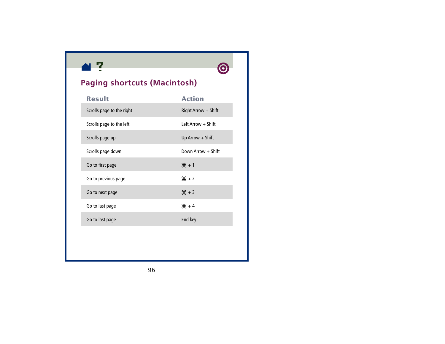



# **Paging shortcuts (Macintosh)**

| <b>Result</b>             | <b>Action</b>         |
|---------------------------|-----------------------|
| Scrolls page to the right | $Right Arrow + Shift$ |
| Scrolls page to the left  | Left Arrow $+$ Shift  |
| Scrolls page up           | Up Arrow $+$ Shift    |
| Scrolls page down         | Down Arrow + Shift    |
| Go to first page          | $H + 1$               |
| Go to previous page       | $H + 2$               |
| Go to next page           | $H + 3$               |
| Go to last page           | $H + 4$               |
| Go to last page           | End key               |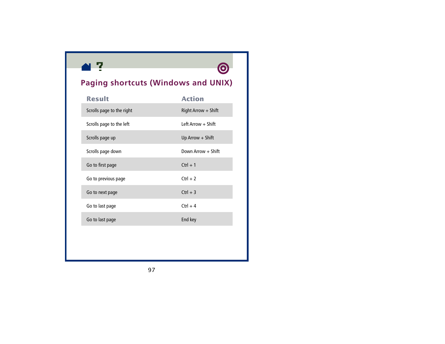

# **Paging shortcuts (Windows and UNIX)**

| <b>Result</b>             | <b>Action</b>         |
|---------------------------|-----------------------|
| Scrolls page to the right | Right Arrow $+$ Shift |
| Scrolls page to the left  | Left Arrow + Shift    |
| Scrolls page up           | Up Arrow $+$ Shift    |
| Scrolls page down         | Down Arrow + Shift    |
| Go to first page          | $Ctrl + 1$            |
| Go to previous page       | $Ctrl + 2$            |
| Go to next page           | $Ctrl + 3$            |
| Go to last page           | $Ctrl + 4$            |
| Go to last page           | End key               |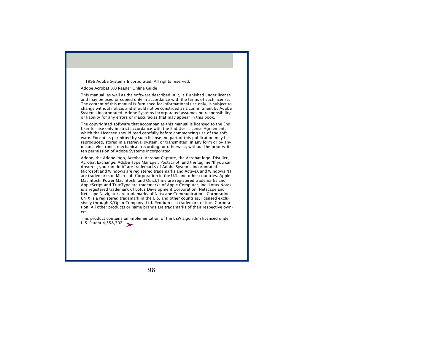1996 Adobe Systems Incorporated. All rights reserved.

Adobe Acrobat 3.0 Reader Online Guide

This manual, as well as the software described in it, is furnished under license and may be used or copied only in accordance with the terms of such license. The content of this manual is furnished for informational use only, is subject to change without notice, and should not be construed as a commitment by Adobe Systems Incorporated. Adobe Systems Incorporated assumes no responsibility or liability for any errors or inaccuracies that may appear in this book.

The copyrighted software that accompanies this manual is licensed to the End User for use only in strict accordance with the End User License Agreement, which the Licensee should read carefully before commencing use of the software. Except as permitted by such license, no part of this publication may be reproduced, stored in a retrieval system, or transmitted, in any form or by any means, electronic, mechanical, recording, or otherwise, without the prior written permission of Adobe Systems Incorporated.

Adobe, the Adobe logo, Acrobat, Acrobat Capture, the Acrobat logo, Distiller, Acrobat Exchange, Adobe Type Manager, PostScript, and the tagline "If you can dream it, you can do it" are trademarks of Adobe Systems Incorporated. Microsoft and Windows are registered trademarks and ActiveX and Windows NT are trademarks of Microsoft Corporation in the U.S. and other countries. Apple, Macintosh, Power Macintosh, and QuickTime are registered trademarks and AppleScript and TrueType are trademarks of Apple Computer, Inc. Lotus Notes is a registered trademark of Lotus Development Corporation. Netscape and Netscape Navigator are trademarks of Netscape Communications Corporation. UNIX is a registered trademark in the U.S. and other countries, licensed exclusively through X/Open Company, Ltd. Pentium is a trademark of Intel Corporation. All other products or name brands are trademarks of their respective owners.

This product contains an implementation of the LZW algorithm licensed under U.S. Patent 4,558,302.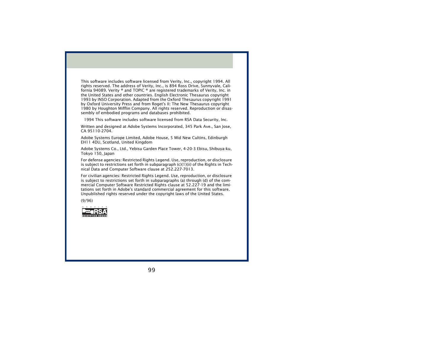This software includes software licensed from Verity, Inc., copyright 1994. All rights reserved. The address of Verity, Inc., is 894 Ross Drive, Sunnyvale, California 94089. Verity ® and TOPIC ® are registered trademarks of Verity, Inc. in the United States and other countries. English Electronic Thesaurus copyright 1993 by INSO Corporation. Adapted from the Oxford Thesaurus copyright 1991 by Oxford University Press and from Roget's II: The New Thesaurus copyright 1980 by Houghton Mifflin Company. All rights reserved. Reproduction or disassembly of embodied programs and databases prohibited.

1994 This software includes software licensed from RSA Data Security, Inc.

Written and designed at Adobe Systems Incorporated, 345 Park Ave., San Jose, CA 95110-2704.

Adobe Systems Europe Limited, Adobe House, 5 Mid New Cultins, Edinburgh EH11 4DU, Scotland, United Kingdom

Adobe Systems Co., Ltd., Yebisu Garden Place Tower, 4-20-3 Ebisu, Shibuya-ku, Tokyo 150, Japan

For defense agencies: Restricted Rights Legend. Use, reproduction, or disclosure is subject to restrictions set forth in subparagraph  $(c)(1)(ii)$  of the Rights in Technical Data and Computer Software clause at 252.227-7013.

For civilian agencies: Restricted Rights Legend. Use, reproduction, or disclosure is subject to restrictions set forth in subparagraphs (a) through (d) of the commercial Computer Software Restricted Rights clause at 52.227-19 and the limitations set forth in Adobe's standard commercial agreement for this software. Unpublished rights reserved under the copyright laws of the United States.

(9/96)

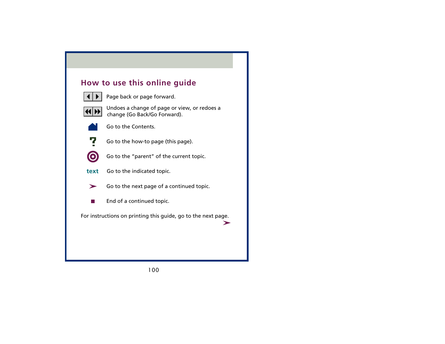## **How to use this online guide**



Page back or page forward.



 Undoes a change of page or view, or redoes a change (Go Back/Go Forward).



Go to the Contents.



Go to the how-to page (this page).



Go to the "parent" of the current topic.

- Go to the indicated topic. **text**
	- Go to the next page of a continued topic. ➤
		- End of a continued topic.

For instructions on printing this guide, go to the next page.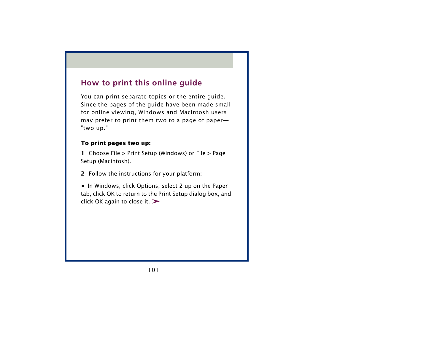# **How to print this online guide**

You can print separate topics or the entire guide. Since the pages of the guide have been made small for online viewing, Windows and Macintosh users may prefer to print them two to a page of paper— "two up."

#### **To print pages two up:**

**1** Choose File > Print Setup (Windows) or File > Page Setup (Macintosh).

**2** Follow the instructions for your platform:

**•** In Windows, click Options, select 2 up on the Paper tab, click OK to return to the Print Setup dialog box, and click OK again to close it.  $\blacktriangleright$